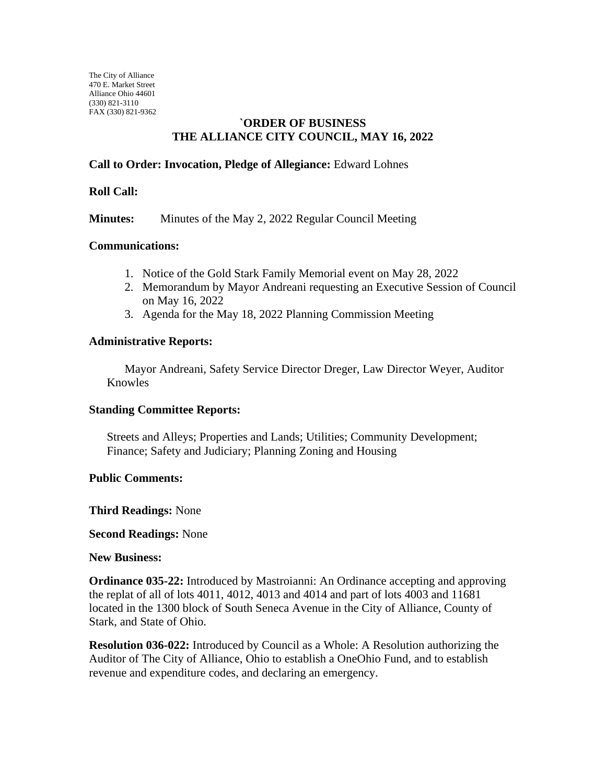The City of Alliance 470 E. Market Street Alliance Ohio 44601 (330) 821-3110 FAX (330) 821-9362

# **`ORDER OF BUSINESS THE ALLIANCE CITY COUNCIL, MAY 16, 2022**

# **Call to Order: Invocation, Pledge of Allegiance:** Edward Lohnes

### **Roll Call:**

**Minutes:** Minutes of the May 2, 2022 Regular Council Meeting

### **Communications:**

- 1. Notice of the Gold Stark Family Memorial event on May 28, 2022
- 2. Memorandum by Mayor Andreani requesting an Executive Session of Council on May 16, 2022
- 3. Agenda for the May 18, 2022 Planning Commission Meeting

### **Administrative Reports:**

Mayor Andreani, Safety Service Director Dreger, Law Director Weyer, Auditor Knowles

#### **Standing Committee Reports:**

Streets and Alleys; Properties and Lands; Utilities; Community Development; Finance; Safety and Judiciary; Planning Zoning and Housing

#### **Public Comments:**

#### **Third Readings:** None

#### **Second Readings:** None

#### **New Business:**

**Ordinance 035-22:** Introduced by Mastroianni: An Ordinance accepting and approving the replat of all of lots 4011, 4012, 4013 and 4014 and part of lots 4003 and 11681 located in the 1300 block of South Seneca Avenue in the City of Alliance, County of Stark, and State of Ohio.

**Resolution 036-022:** Introduced by Council as a Whole: A Resolution authorizing the Auditor of The City of Alliance, Ohio to establish a OneOhio Fund, and to establish revenue and expenditure codes, and declaring an emergency.